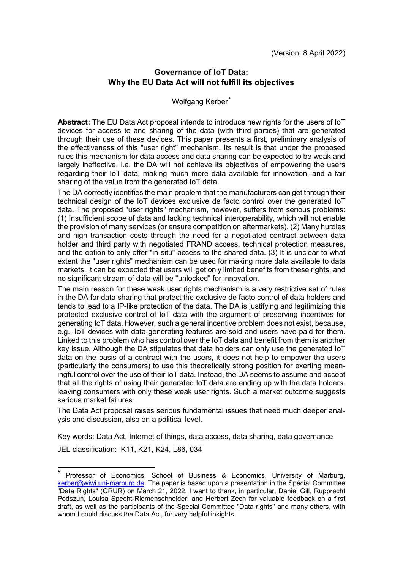# **Governance of IoT Data: Why the EU Data Act will not fulfill its objectives**

#### Wolfgang Kerber[\\*](#page-0-0)

**Abstract:** The EU Data Act proposal intends to introduce new rights for the users of IoT devices for access to and sharing of the data (with third parties) that are generated through their use of these devices. This paper presents a first, preliminary analysis of the effectiveness of this "user right" mechanism. Its result is that under the proposed rules this mechanism for data access and data sharing can be expected to be weak and largely ineffective, i.e. the DA will not achieve its objectives of empowering the users regarding their IoT data, making much more data available for innovation, and a fair sharing of the value from the generated IoT data.

The DA correctly identifies the main problem that the manufacturers can get through their technical design of the IoT devices exclusive de facto control over the generated IoT data. The proposed "user rights" mechanism, however, suffers from serious problems: (1) Insufficient scope of data and lacking technical interoperability, which will not enable the provision of many services (or ensure competition on aftermarkets). (2) Many hurdles and high transaction costs through the need for a negotiated contract between data holder and third party with negotiated FRAND access, technical protection measures, and the option to only offer "in-situ" access to the shared data. (3) It is unclear to what extent the "user rights" mechanism can be used for making more data available to data markets. It can be expected that users will get only limited benefits from these rights, and no significant stream of data will be "unlocked" for innovation.

The main reason for these weak user rights mechanism is a very restrictive set of rules in the DA for data sharing that protect the exclusive de facto control of data holders and tends to lead to a IP-like protection of the data. The DA is justifying and legitimizing this protected exclusive control of IoT data with the argument of preserving incentives for generating IoT data. However, such a general incentive problem does not exist, because, e.g., IoT devices with data-generating features are sold and users have paid for them. Linked to this problem who has control over the IoT data and benefit from them is another key issue. Although the DA stipulates that data holders can only use the generated IoT data on the basis of a contract with the users, it does not help to empower the users (particularly the consumers) to use this theoretically strong position for exerting meaningful control over the use of their IoT data. Instead, the DA seems to assume and accept that all the rights of using their generated IoT data are ending up with the data holders. leaving consumers with only these weak user rights. Such a market outcome suggests serious market failures.

The Data Act proposal raises serious fundamental issues that need much deeper analysis and discussion, also on a political level.

Key words: Data Act, Internet of things, data access, data sharing, data governance JEL classification: K11, K21, K24, L86, 034

<span id="page-0-0"></span>Professor of Economics, School of Business & Economics, University of Marburg, [kerber@wiwi.uni-marburg.de.](mailto:kerber@wiwi.uni-marburg.de) The paper is based upon a presentation in the Special Committee "Data Rights" (GRUR) on March 21, 2022. I want to thank, in particular, Daniel Gill, Rupprecht Podszun, Louisa Specht-Riemenschneider, and Herbert Zech for valuable feedback on a first draft, as well as the participants of the Special Committee "Data rights" and many others, with whom I could discuss the Data Act, for very helpful insights.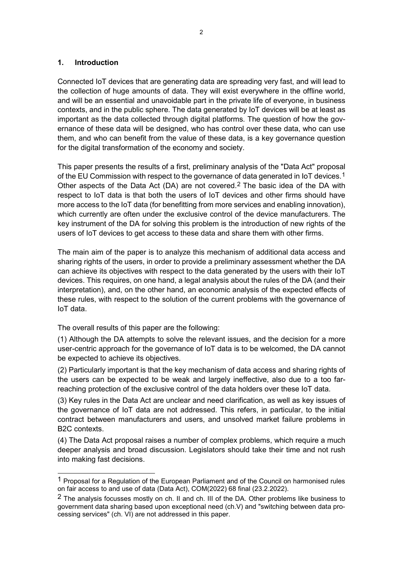#### **1. Introduction**

Connected IoT devices that are generating data are spreading very fast, and will lead to the collection of huge amounts of data. They will exist everywhere in the offline world, and will be an essential and unavoidable part in the private life of everyone, in business contexts, and in the public sphere. The data generated by IoT devices will be at least as important as the data collected through digital platforms. The question of how the governance of these data will be designed, who has control over these data, who can use them, and who can benefit from the value of these data, is a key governance question for the digital transformation of the economy and society.

This paper presents the results of a first, preliminary analysis of the "Data Act" proposal of the EU Commission with respect to the governance of data generated in IoT devices.<sup>[1](#page-1-0)</sup> Other aspects of the Data Act (DA) are not covered.[2](#page-1-1) The basic idea of the DA with respect to IoT data is that both the users of IoT devices and other firms should have more access to the IoT data (for benefitting from more services and enabling innovation), which currently are often under the exclusive control of the device manufacturers. The key instrument of the DA for solving this problem is the introduction of new rights of the users of IoT devices to get access to these data and share them with other firms.

The main aim of the paper is to analyze this mechanism of additional data access and sharing rights of the users, in order to provide a preliminary assessment whether the DA can achieve its objectives with respect to the data generated by the users with their IoT devices. This requires, on one hand, a legal analysis about the rules of the DA (and their interpretation), and, on the other hand, an economic analysis of the expected effects of these rules, with respect to the solution of the current problems with the governance of IoT data.

The overall results of this paper are the following:

-

(1) Although the DA attempts to solve the relevant issues, and the decision for a more user-centric approach for the governance of IoT data is to be welcomed, the DA cannot be expected to achieve its objectives.

(2) Particularly important is that the key mechanism of data access and sharing rights of the users can be expected to be weak and largely ineffective, also due to a too farreaching protection of the exclusive control of the data holders over these IoT data.

(3) Key rules in the Data Act are unclear and need clarification, as well as key issues of the governance of IoT data are not addressed. This refers, in particular, to the initial contract between manufacturers and users, and unsolved market failure problems in B2C contexts.

(4) The Data Act proposal raises a number of complex problems, which require a much deeper analysis and broad discussion. Legislators should take their time and not rush into making fast decisions.

<span id="page-1-0"></span><sup>&</sup>lt;sup>1</sup> Proposal for a Regulation of the European Parliament and of the Council on harmonised rules on fair access to and use of data (Data Act), COM(2022) 68 final (23.2.2022).

<span id="page-1-1"></span> $2$  The analysis focusses mostly on ch. II and ch. III of the DA. Other problems like business to government data sharing based upon exceptional need (ch.V) and "switching between data processing services" (ch. VI) are not addressed in this paper.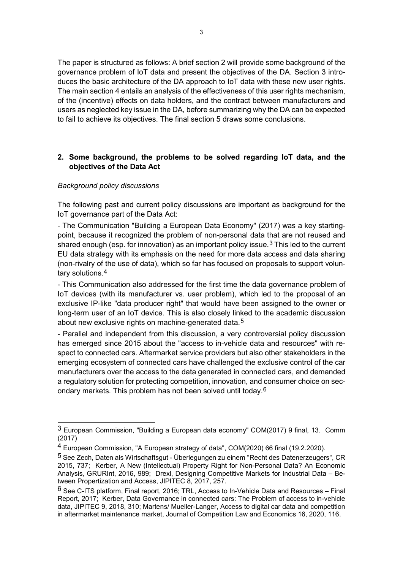The paper is structured as follows: A brief section 2 will provide some background of the governance problem of IoT data and present the objectives of the DA. Section 3 introduces the basic architecture of the DA approach to IoT data with these new user rights. The main section 4 entails an analysis of the effectiveness of this user rights mechanism, of the (incentive) effects on data holders, and the contract between manufacturers and users as neglected key issue in the DA, before summarizing why the DA can be expected to fail to achieve its objectives. The final section 5 draws some conclusions.

## **2. Some background, the problems to be solved regarding IoT data, and the objectives of the Data Act**

## *Background policy discussions*

1

The following past and current policy discussions are important as background for the IoT governance part of the Data Act:

- The Communication "Building a European Data Economy" (2017) was a key startingpoint, because it recognized the problem of non-personal data that are not reused and shared enough (esp. for innovation) as an important policy issue.<sup>[3](#page-2-0)</sup> This led to the current EU data strategy with its emphasis on the need for more data access and data sharing (non-rivalry of the use of data), which so far has focused on proposals to support voluntary solutions.[4](#page-2-1)

- This Communication also addressed for the first time the data governance problem of IoT devices (with its manufacturer vs. user problem), which led to the proposal of an exclusive IP-like "data producer right" that would have been assigned to the owner or long-term user of an IoT device. This is also closely linked to the academic discussion about new exclusive rights on machine-generated data.<sup>[5](#page-2-2)</sup>

- Parallel and independent from this discussion, a very controversial policy discussion has emerged since 2015 about the "access to in-vehicle data and resources" with respect to connected cars. Aftermarket service providers but also other stakeholders in the emerging ecosystem of connected cars have challenged the exclusive control of the car manufacturers over the access to the data generated in connected cars, and demanded a regulatory solution for protecting competition, innovation, and consumer choice on secondary markets. This problem has not been solved until today.[6](#page-2-3)

<span id="page-2-0"></span><sup>3</sup> European Commission, "Building a European data economy" COM(2017) 9 final, 13. Comm (2017)

<span id="page-2-1"></span><sup>4</sup> European Commission, "A European strategy of data", COM(2020) 66 final (19.2.2020).

<span id="page-2-2"></span><sup>5</sup> See Zech, Daten als Wirtschaftsgut - Überlegungen zu einem "Recht des Datenerzeugers", CR 2015, 737; Kerber, A New (Intellectual) Property Right for Non-Personal Data? An Economic Analysis, GRURInt, 2016, 989; Drexl, Designing Competitive Markets for Industrial Data – Between Propertization and Access, JIPITEC 8, 2017, 257.

<span id="page-2-3"></span> $6$  See C-ITS platform, Final report, 2016; TRL, Access to In-Vehicle Data and Resources – Final Report, 2017; Kerber, Data Governance in connected cars: The Problem of access to in-vehicle data, JIPITEC 9, 2018, 310; Martens/ Mueller-Langer, Access to digital car data and competition in aftermarket maintenance market, Journal of Competition Law and Economics 16, 2020, 116.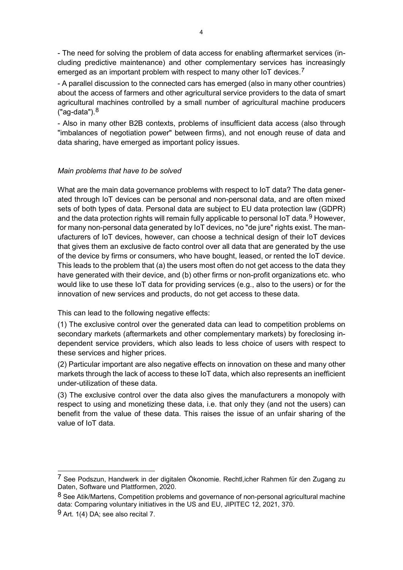- The need for solving the problem of data access for enabling aftermarket services (including predictive maintenance) and other complementary services has increasingly emerged as an important problem with respect to many other IoT devices.<sup>[7](#page-3-0)</sup>

- A parallel discussion to the connected cars has emerged (also in many other countries) about the access of farmers and other agricultural service providers to the data of smart agricultural machines controlled by a small number of agricultural machine producers  $("aq-data").<sup>8</sup>$  $("aq-data").<sup>8</sup>$  $("aq-data").<sup>8</sup>$ 

- Also in many other B2B contexts, problems of insufficient data access (also through "imbalances of negotiation power" between firms), and not enough reuse of data and data sharing, have emerged as important policy issues.

#### *Main problems that have to be solved*

What are the main data governance problems with respect to IoT data? The data generated through IoT devices can be personal and non-personal data, and are often mixed sets of both types of data. Personal data are subject to EU data protection law (GDPR) and the data protection rights will remain fully applicable to personal IoT data.<sup>[9](#page-3-2)</sup> However, for many non-personal data generated by IoT devices, no "de jure" rights exist. The manufacturers of IoT devices, however, can choose a technical design of their IoT devices that gives them an exclusive de facto control over all data that are generated by the use of the device by firms or consumers, who have bought, leased, or rented the IoT device. This leads to the problem that (a) the users most often do not get access to the data they have generated with their device, and (b) other firms or non-profit organizations etc. who would like to use these IoT data for providing services (e.g., also to the users) or for the innovation of new services and products, do not get access to these data.

This can lead to the following negative effects:

(1) The exclusive control over the generated data can lead to competition problems on secondary markets (aftermarkets and other complementary markets) by foreclosing independent service providers, which also leads to less choice of users with respect to these services and higher prices.

(2) Particular important are also negative effects on innovation on these and many other markets through the lack of access to these IoT data, which also represents an inefficient under-utilization of these data.

(3) The exclusive control over the data also gives the manufacturers a monopoly with respect to using and monetizing these data, i.e. that only they (and not the users) can benefit from the value of these data. This raises the issue of an unfair sharing of the value of IoT data.

<span id="page-3-0"></span><sup>7</sup> See Podszun, Handwerk in der digitalen Ökonomie. Rechtl,icher Rahmen für den Zugang zu Daten, Software und Plattformen, 2020.

<span id="page-3-1"></span><sup>8</sup> See Atik/Martens. Competition problems and governance of non-personal agricultural machine data: Comparing voluntary initiatives in the US and EU, JIPITEC 12, 2021, 370.

<span id="page-3-2"></span> $9$  Art. 1(4) DA; see also recital 7.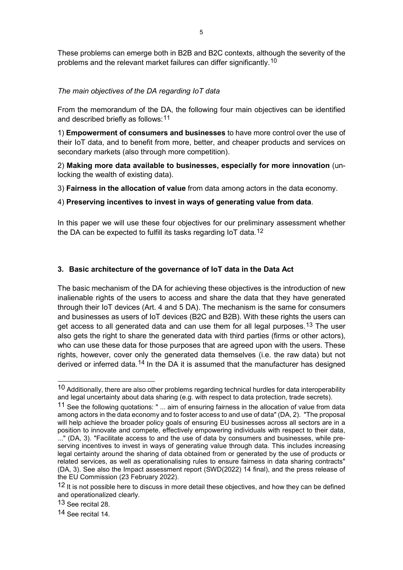These problems can emerge both in B2B and B2C contexts, although the severity of the problems and the relevant market failures can differ significantly.[10](#page-4-0)

# *The main objectives of the DA regarding IoT data*

From the memorandum of the DA, the following four main objectives can be identified and described briefly as follows: <sup>[11](#page-4-1)</sup>

1) **Empowerment of consumers and businesses** to have more control over the use of their IoT data, and to benefit from more, better, and cheaper products and services on secondary markets (also through more competition).

2) **Making more data available to businesses, especially for more innovation** (unlocking the wealth of existing data).

3) **Fairness in the allocation of value** from data among actors in the data economy.

#### 4) **Preserving incentives to invest in ways of generating value from data**.

In this paper we will use these four objectives for our preliminary assessment whether the DA can be expected to fulfill its tasks regarding IoT data.<sup>[12](#page-4-2)</sup>

#### **3. Basic architecture of the governance of IoT data in the Data Act**

The basic mechanism of the DA for achieving these objectives is the introduction of new inalienable rights of the users to access and share the data that they have generated through their IoT devices (Art. 4 and 5 DA). The mechanism is the same for consumers and businesses as users of IoT devices (B2C and B2B). With these rights the users can get access to all generated data and can use them for all legal purposes.<sup>[13](#page-4-3)</sup> The user also gets the right to share the generated data with third parties (firms or other actors), who can use these data for those purposes that are agreed upon with the users. These rights, however, cover only the generated data themselves (i.e. the raw data) but not derived or inferred data.<sup>[14](#page-4-4)</sup> In the DA it is assumed that the manufacturer has designed

<span id="page-4-0"></span> $10$  Additionally, there are also other problems regarding technical hurdles for data interoperability and legal uncertainty about data sharing (e.g. with respect to data protection, trade secrets).

<span id="page-4-1"></span><sup>11</sup> See the following quotations: " ... aim of ensuring fairness in the allocation of value from data among actors in the data economy and to foster access to and use of data" (DA, 2). "The proposal will help achieve the broader policy goals of ensuring EU businesses across all sectors are in a position to innovate and compete, effectively empowering individuals with respect to their data, ..." (DA, 3). "Facilitate access to and the use of data by consumers and businesses, while preserving incentives to invest in ways of generating value through data. This includes increasing legal certainty around the sharing of data obtained from or generated by the use of products or related services, as well as operationalising rules to ensure fairness in data sharing contracts" (DA, 3). See also the Impact assessment report (SWD(2022) 14 final), and the press release of the EU Commission (23 February 2022).

<span id="page-4-2"></span><sup>12</sup> It is not possible here to discuss in more detail these objectives, and how they can be defined and operationalized clearly.

<span id="page-4-3"></span><sup>13</sup> See recital 28.

<span id="page-4-4"></span><sup>14</sup> See recital 14.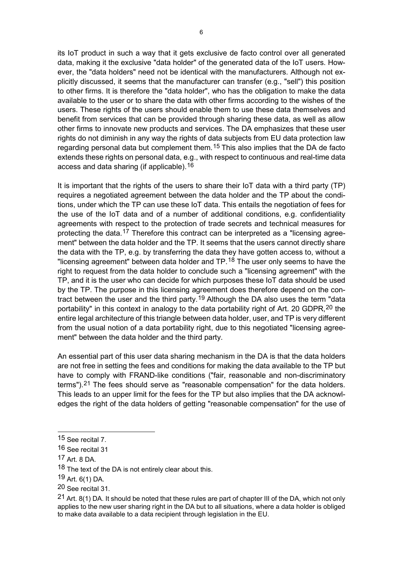its IoT product in such a way that it gets exclusive de facto control over all generated data, making it the exclusive "data holder" of the generated data of the IoT users. However, the "data holders" need not be identical with the manufacturers. Although not explicitly discussed, it seems that the manufacturer can transfer (e.g., "sell") this position to other firms. It is therefore the "data holder", who has the obligation to make the data available to the user or to share the data with other firms according to the wishes of the users. These rights of the users should enable them to use these data themselves and benefit from services that can be provided through sharing these data, as well as allow other firms to innovate new products and services. The DA emphasizes that these user rights do not diminish in any way the rights of data subjects from EU data protection law regarding personal data but complement them.<sup>[15](#page-5-0)</sup> This also implies that the DA de facto extends these rights on personal data, e.g., with respect to continuous and real-time data access and data sharing (if applicable).<sup>[16](#page-5-1)</sup>

It is important that the rights of the users to share their IoT data with a third party (TP) requires a negotiated agreement between the data holder and the TP about the conditions, under which the TP can use these IoT data. This entails the negotiation of fees for the use of the IoT data and of a number of additional conditions, e.g. confidentiality agreements with respect to the protection of trade secrets and technical measures for protecting the data.<sup>[17](#page-5-2)</sup> Therefore this contract can be interpreted as a "licensing agreement" between the data holder and the TP. It seems that the users cannot directly share the data with the TP, e.g. by transferring the data they have gotten access to, without a "licensing agreement" between data holder and TP.<sup>[18](#page-5-3)</sup> The user only seems to have the right to request from the data holder to conclude such a "licensing agreement" with the TP, and it is the user who can decide for which purposes these IoT data should be used by the TP. The purpose in this licensing agreement does therefore depend on the con-tract between the user and the third party.<sup>[19](#page-5-4)</sup> Although the DA also uses the term "data portability" in this context in analogy to the data portability right of Art. [20](#page-5-5) GDPR, <sup>20</sup> the entire legal architecture of this triangle between data holder, user, and TP is very different from the usual notion of a data portability right, due to this negotiated "licensing agreement" between the data holder and the third party.

An essential part of this user data sharing mechanism in the DA is that the data holders are not free in setting the fees and conditions for making the data available to the TP but have to comply with FRAND-like conditions ("fair, reasonable and non-discriminatory terms").[21](#page-5-6) The fees should serve as "reasonable compensation" for the data holders. This leads to an upper limit for the fees for the TP but also implies that the DA acknowledges the right of the data holders of getting "reasonable compensation" for the use of

-

<span id="page-5-4"></span>19 Art. 6(1) DA.

<span id="page-5-0"></span><sup>15</sup> See recital 7.

<span id="page-5-1"></span><sup>16</sup> See recital 31

<span id="page-5-2"></span><sup>17</sup> Art. 8 DA.

<span id="page-5-3"></span><sup>18</sup> The text of the DA is not entirely clear about this.

<span id="page-5-5"></span><sup>20</sup> See recital 31.

<span id="page-5-6"></span><sup>21</sup> Art. 8(1) DA. It should be noted that these rules are part of chapter III of the DA, which not only applies to the new user sharing right in the DA but to all situations, where a data holder is obliged to make data available to a data recipient through legislation in the EU.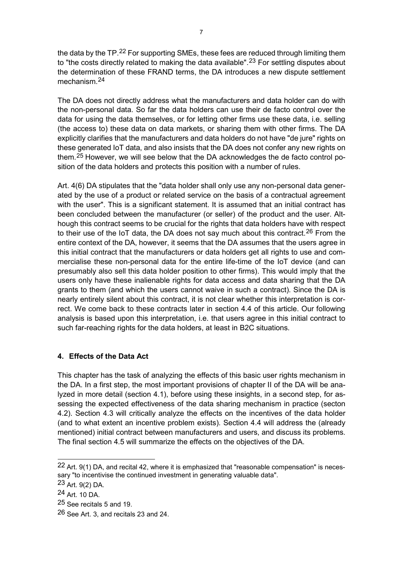the data by the TP.<sup>[22](#page-6-0)</sup> For supporting SMEs, these fees are reduced through limiting them to "the costs directly related to making the data available".<sup>[23](#page-6-1)</sup> For settling disputes about the determination of these FRAND terms, the DA introduces a new dispute settlement mechanism.[24](#page-6-2)

The DA does not directly address what the manufacturers and data holder can do with the non-personal data. So far the data holders can use their de facto control over the data for using the data themselves, or for letting other firms use these data, i.e. selling (the access to) these data on data markets, or sharing them with other firms. The DA explicitly clarifies that the manufacturers and data holders do not have "de jure" rights on these generated IoT data, and also insists that the DA does not confer any new rights on them.[25](#page-6-3) However, we will see below that the DA acknowledges the de facto control position of the data holders and protects this position with a number of rules.

Art. 4(6) DA stipulates that the "data holder shall only use any non-personal data generated by the use of a product or related service on the basis of a contractual agreement with the user". This is a significant statement. It is assumed that an initial contract has been concluded between the manufacturer (or seller) of the product and the user. Although this contract seems to be crucial for the rights that data holders have with respect to their use of the IoT data, the DA does not say much about this contract.<sup>[26](#page-6-4)</sup> From the entire context of the DA, however, it seems that the DA assumes that the users agree in this initial contract that the manufacturers or data holders get all rights to use and commercialise these non-personal data for the entire life-time of the IoT device (and can presumably also sell this data holder position to other firms). This would imply that the users only have these inalienable rights for data access and data sharing that the DA grants to them (and which the users cannot waive in such a contract). Since the DA is nearly entirely silent about this contract, it is not clear whether this interpretation is correct. We come back to these contracts later in section 4.4 of this article. Our following analysis is based upon this interpretation, i.e. that users agree in this initial contract to such far-reaching rights for the data holders, at least in B2C situations.

# **4. Effects of the Data Act**

This chapter has the task of analyzing the effects of this basic user rights mechanism in the DA. In a first step, the most important provisions of chapter II of the DA will be analyzed in more detail (section 4.1), before using these insights, in a second step, for assessing the expected effectiveness of the data sharing mechanism in practice (secton 4.2). Section 4.3 will critically analyze the effects on the incentives of the data holder (and to what extent an incentive problem exists). Section 4.4 will address the (already mentioned) initial contract between manufacturers and users, and discuss its problems. The final section 4.5 will summarize the effects on the objectives of the DA.

<span id="page-6-0"></span><sup>22</sup> Art. 9(1) DA, and recital 42, where it is emphasized that "reasonable compensation" is necessary "to incentivise the continued investment in generating valuable data".

<span id="page-6-1"></span><sup>23</sup> Art. 9(2) DA.

<span id="page-6-2"></span><sup>24</sup> Art. 10 DA.

<span id="page-6-3"></span><sup>25</sup> See recitals 5 and 19.

<span id="page-6-4"></span><sup>26</sup> See Art. 3, and recitals 23 and 24.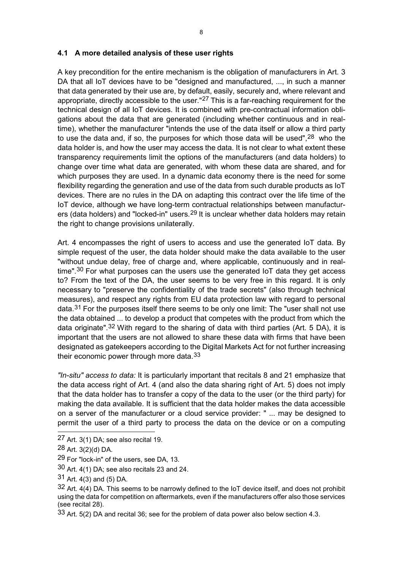#### **4.1 A more detailed analysis of these user rights**

A key precondition for the entire mechanism is the obligation of manufacturers in Art. 3 DA that all IoT devices have to be "designed and manufactured, ..., in such a manner that data generated by their use are, by default, easily, securely and, where relevant and appropriate, directly accessible to the user."<sup>[27](#page-7-0)</sup> This is a far-reaching requirement for the technical design of all IoT devices. It is combined with pre-contractual information obligations about the data that are generated (including whether continuous and in realtime), whether the manufacturer "intends the use of the data itself or allow a third party to use the data and, if so, the purposes for which those data will be used", <sup>[28](#page-7-1)</sup> who the data holder is, and how the user may access the data. It is not clear to what extent these transparency requirements limit the options of the manufacturers (and data holders) to change over time what data are generated, with whom these data are shared, and for which purposes they are used. In a dynamic data economy there is the need for some flexibility regarding the generation and use of the data from such durable products as IoT devices. There are no rules in the DA on adapting this contract over the life time of the IoT device, although we have long-term contractual relationships between manufactur-ers (data holders) and "locked-in" users.<sup>[29](#page-7-2)</sup> It is unclear whether data holders may retain the right to change provisions unilaterally.

Art. 4 encompasses the right of users to access and use the generated IoT data. By simple request of the user, the data holder should make the data available to the user "without undue delay, free of charge and, where applicable, continuously and in real-time".<sup>[30](#page-7-3)</sup> For what purposes can the users use the generated IoT data they get access to? From the text of the DA, the user seems to be very free in this regard. It is only necessary to "preserve the confidentiality of the trade secrets" (also through technical measures), and respect any rights from EU data protection law with regard to personal data.<sup>[31](#page-7-4)</sup> For the purposes itself there seems to be only one limit: The "user shall not use the data obtained ... to develop a product that competes with the product from which the data originate".[32](#page-7-5) With regard to the sharing of data with third parties (Art. 5 DA), it is important that the users are not allowed to share these data with firms that have been designated as gatekeepers according to the Digital Markets Act for not further increasing their economic power through more data.<sup>[33](#page-7-6)</sup>

*"In-situ" access to data:* It is particularly important that recitals 8 and 21 emphasize that the data access right of Art. 4 (and also the data sharing right of Art. 5) does not imply that the data holder has to transfer a copy of the data to the user (or the third party) for making the data available. It is sufficient that the data holder makes the data accessible on a server of the manufacturer or a cloud service provider: " ... may be designed to permit the user of a third party to process the data on the device or on a computing

<span id="page-7-0"></span><sup>27</sup> Art. 3(1) DA; see also recital 19.

<span id="page-7-1"></span> $28$  Art. 3(2)(d) DA.

<span id="page-7-2"></span><sup>29</sup> For "lock-in" of the users, see DA, 13.

<span id="page-7-3"></span> $30$  Art. 4(1) DA; see also recitals 23 and 24.

<span id="page-7-4"></span><sup>31</sup> Art. 4(3) and (5) DA.

<span id="page-7-5"></span> $32$  Art. 4(4) DA. This seems to be narrowly defined to the IoT device itself, and does not prohibit using the data for competition on aftermarkets, even if the manufacturers offer also those services (see recital 28).

<span id="page-7-6"></span><sup>33</sup> Art. 5(2) DA and recital 36; see for the problem of data power also below section 4.3.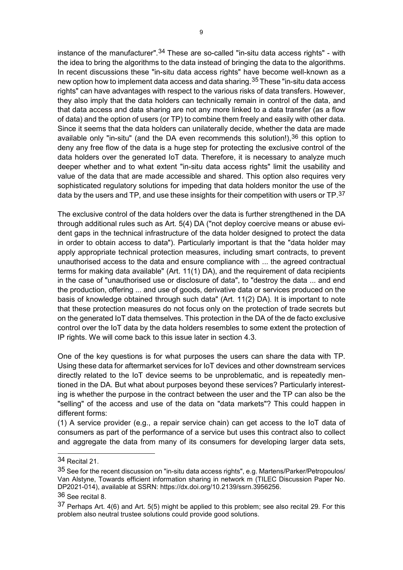instance of the manufacturer".<sup>[34](#page-8-0)</sup> These are so-called "in-situ data access rights" - with the idea to bring the algorithms to the data instead of bringing the data to the algorithms. In recent discussions these "in-situ data access rights" have become well-known as a new option how to implement data access and data sharing.<sup>[35](#page-8-1)</sup> These "in-situ data access rights" can have advantages with respect to the various risks of data transfers. However, they also imply that the data holders can technically remain in control of the data, and that data access and data sharing are not any more linked to a data transfer (as a flow of data) and the option of users (or TP) to combine them freely and easily with other data. Since it seems that the data holders can unilaterally decide, whether the data are made available only "in-situ" (and the DA even recommends this solution!),  $36$  this option to deny any free flow of the data is a huge step for protecting the exclusive control of the data holders over the generated IoT data. Therefore, it is necessary to analyze much deeper whether and to what extent "in-situ data access rights" limit the usability and value of the data that are made accessible and shared. This option also requires very sophisticated regulatory solutions for impeding that data holders monitor the use of the data by the users and TP, and use these insights for their competition with users or  $TP$ . [37](#page-8-3)

The exclusive control of the data holders over the data is further strengthened in the DA through additional rules such as Art. 5(4) DA ("not deploy coercive means or abuse evident gaps in the technical infrastructure of the data holder designed to protect the data in order to obtain access to data"). Particularly important is that the "data holder may apply appropriate technical protection measures, including smart contracts, to prevent unauthorised access to the data and ensure compliance with ... the agreed contractual terms for making data available" (Art. 11(1) DA), and the requirement of data recipients in the case of "unauthorised use or disclosure of data", to "destroy the data ... and end the production, offering ... and use of goods, derivative data or services produced on the basis of knowledge obtained through such data" (Art. 11(2) DA). It is important to note that these protection measures do not focus only on the protection of trade secrets but on the generated IoT data themselves. This protection in the DA of the de facto exclusive control over the IoT data by the data holders resembles to some extent the protection of IP rights. We will come back to this issue later in section 4.3.

One of the key questions is for what purposes the users can share the data with TP. Using these data for aftermarket services for IoT devices and other downstream services directly related to the IoT device seems to be unproblematic, and is repeatedly mentioned in the DA. But what about purposes beyond these services? Particularly interesting is whether the purpose in the contract between the user and the TP can also be the "selling" of the access and use of the data on "data markets"? This could happen in different forms:

(1) A service provider (e.g., a repair service chain) can get access to the IoT data of consumers as part of the performance of a service but uses this contract also to collect and aggregate the data from many of its consumers for developing larger data sets,

<span id="page-8-0"></span><sup>34</sup> Recital 21.

<span id="page-8-1"></span><sup>35</sup> See for the recent discussion on "in-situ data access rights", e.g. Martens/Parker/Petropoulos/ Van Alstyne, Towards efficient information sharing in network m (TILEC Discussion Paper No. DP2021-014), available at SSRN: https://dx.doi.org/10.2139/ssrn.3956256.

<span id="page-8-2"></span><sup>36</sup> See recital 8.

<span id="page-8-3"></span> $37$  Perhaps Art. 4(6) and Art. 5(5) might be applied to this problem; see also recital 29. For this problem also neutral trustee solutions could provide good solutions.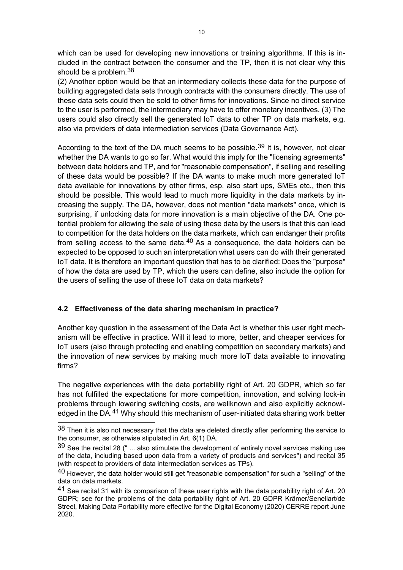which can be used for developing new innovations or training algorithms. If this is included in the contract between the consumer and the TP, then it is not clear why this should be a problem.<sup>[38](#page-9-0)</sup>

(2) Another option would be that an intermediary collects these data for the purpose of building aggregated data sets through contracts with the consumers directly. The use of these data sets could then be sold to other firms for innovations. Since no direct service to the user is performed, the intermediary may have to offer monetary incentives. (3) The users could also directly sell the generated IoT data to other TP on data markets, e.g. also via providers of data intermediation services (Data Governance Act).

According to the text of the DA much seems to be possible.<sup>[39](#page-9-1)</sup> It is, however, not clear whether the DA wants to go so far. What would this imply for the "licensing agreements" between data holders and TP, and for "reasonable compensation", if selling and reselling of these data would be possible? If the DA wants to make much more generated IoT data available for innovations by other firms, esp. also start ups, SMEs etc., then this should be possible. This would lead to much more liquidity in the data markets by increasing the supply. The DA, however, does not mention "data markets" once, which is surprising, if unlocking data for more innovation is a main objective of the DA. One potential problem for allowing the sale of using these data by the users is that this can lead to competition for the data holders on the data markets, which can endanger their profits from selling access to the same data. $40$  As a consequence, the data holders can be expected to be opposed to such an interpretation what users can do with their generated IoT data. It is therefore an important question that has to be clarified: Does the "purpose" of how the data are used by TP, which the users can define, also include the option for the users of selling the use of these IoT data on data markets?

# **4.2 Effectiveness of the data sharing mechanism in practice?**

1

Another key question in the assessment of the Data Act is whether this user right mechanism will be effective in practice. Will it lead to more, better, and cheaper services for IoT users (also through protecting and enabling competition on secondary markets) and the innovation of new services by making much more IoT data available to innovating firms?

The negative experiences with the data portability right of Art. 20 GDPR, which so far has not fulfilled the expectations for more competition, innovation, and solving lock-in problems through lowering switching costs, are wellknown and also explicitly acknowl-edged in the DA.<sup>[41](#page-9-3)</sup> Why should this mechanism of user-initiated data sharing work better

<span id="page-9-0"></span> $38$  Then it is also not necessary that the data are deleted directly after performing the service to the consumer, as otherwise stipulated in Art. 6(1) DA.

<span id="page-9-1"></span> $39$  See the recital 28 (" ... also stimulate the development of entirely novel services making use of the data, including based upon data from a variety of products and services") and recital 35 (with respect to providers of data intermediation services as TPs).

<span id="page-9-2"></span><sup>40</sup> However, the data holder would still get "reasonable compensation" for such a "selling" of the data on data markets.

<span id="page-9-3"></span><sup>41</sup> See recital 31 with its comparison of these user rights with the data portability right of Art. 20 GDPR; see for the problems of the data portability right of Art. 20 GDPR Krämer/Senellart/de Streel, Making Data Portability more effective for the Digital Economy (2020) CERRE report June 2020.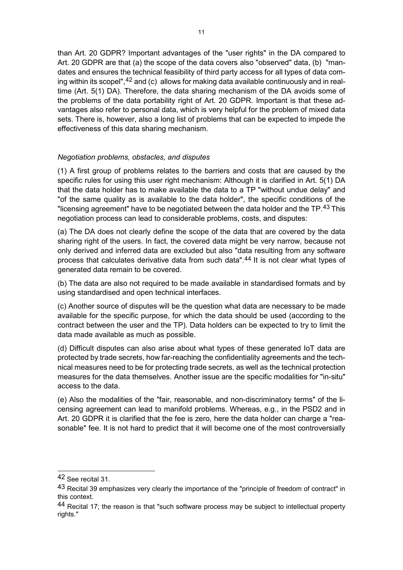than Art. 20 GDPR? Important advantages of the "user rights" in the DA compared to Art. 20 GDPR are that (a) the scope of the data covers also "observed" data, (b) "mandates and ensures the technical feasibility of third party access for all types of data coming within its scopel",  $42$  and (c) allows for making data available continuously and in realtime (Art. 5(1) DA). Therefore, the data sharing mechanism of the DA avoids some of the problems of the data portability right of Art. 20 GDPR. Important is that these advantages also refer to personal data, which is very helpful for the problem of mixed data sets. There is, however, also a long list of problems that can be expected to impede the effectiveness of this data sharing mechanism.

## *Negotiation problems, obstacles, and disputes*

(1) A first group of problems relates to the barriers and costs that are caused by the specific rules for using this user right mechanism: Although it is clarified in Art. 5(1) DA that the data holder has to make available the data to a TP "without undue delay" and "of the same quality as is available to the data holder", the specific conditions of the "licensing agreement" have to be negotiated between the data holder and the TP.<sup>[43](#page-10-1)</sup> This negotiation process can lead to considerable problems, costs, and disputes:

(a) The DA does not clearly define the scope of the data that are covered by the data sharing right of the users. In fact, the covered data might be very narrow, because not only derived and inferred data are excluded but also "data resulting from any software process that calculates derivative data from such data".<sup>[44](#page-10-2)</sup> It is not clear what types of generated data remain to be covered.

(b) The data are also not required to be made available in standardised formats and by using standardised and open technical interfaces.

(c) Another source of disputes will be the question what data are necessary to be made available for the specific purpose, for which the data should be used (according to the contract between the user and the TP). Data holders can be expected to try to limit the data made available as much as possible.

(d) Difficult disputes can also arise about what types of these generated IoT data are protected by trade secrets, how far-reaching the confidentiality agreements and the technical measures need to be for protecting trade secrets, as well as the technical protection measures for the data themselves. Another issue are the specific modalities for "in-situ" access to the data.

(e) Also the modalities of the "fair, reasonable, and non-discriminatory terms" of the licensing agreement can lead to manifold problems. Whereas, e.g., in the PSD2 and in Art. 20 GDPR it is clarified that the fee is zero, here the data holder can charge a "reasonable" fee. It is not hard to predict that it will become one of the most controversially

<span id="page-10-0"></span><sup>42</sup> See recital 31.

<span id="page-10-1"></span> $43$  Recital 39 emphasizes very clearly the importance of the "principle of freedom of contract" in this context.

<span id="page-10-2"></span><sup>44</sup> Recital 17; the reason is that "such software process may be subject to intellectual property rights."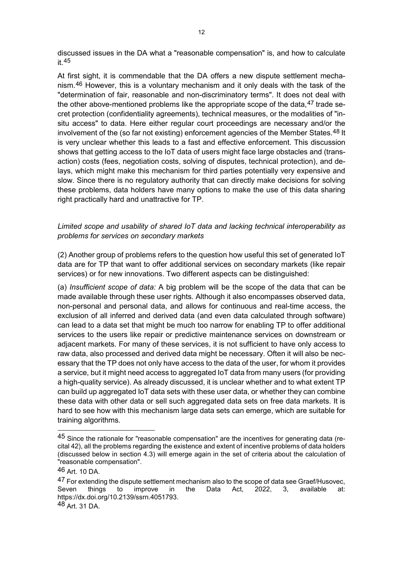discussed issues in the DA what a "reasonable compensation" is, and how to calculate it.[45](#page-11-0)

At first sight, it is commendable that the DA offers a new dispute settlement mechanism.[46](#page-11-1) However, this is a voluntary mechanism and it only deals with the task of the "determination of fair, reasonable and non-discriminatory terms". It does not deal with the other above-mentioned problems like the appropriate scope of the data,  $47$  trade secret protection (confidentiality agreements), technical measures, or the modalities of "insitu access" to data. Here either regular court proceedings are necessary and/or the involvement of the (so far not existing) enforcement agencies of the Member States.<sup>[48](#page-11-3)</sup> It is very unclear whether this leads to a fast and effective enforcement. This discussion shows that getting access to the IoT data of users might face large obstacles and (transaction) costs (fees, negotiation costs, solving of disputes, technical protection), and delays, which might make this mechanism for third parties potentially very expensive and slow. Since there is no regulatory authority that can directly make decisions for solving these problems, data holders have many options to make the use of this data sharing right practically hard and unattractive for TP.

#### *Limited scope and usability of shared IoT data and lacking technical interoperability as problems for services on secondary markets*

(2) Another group of problems refers to the question how useful this set of generated IoT data are for TP that want to offer additional services on secondary markets (like repair services) or for new innovations. Two different aspects can be distinguished:

(a) *Insufficient scope of data:* A big problem will be the scope of the data that can be made available through these user rights. Although it also encompasses observed data, non-personal and personal data, and allows for continuous and real-time access, the exclusion of all inferred and derived data (and even data calculated through software) can lead to a data set that might be much too narrow for enabling TP to offer additional services to the users like repair or predictive maintenance services on downstream or adjacent markets. For many of these services, it is not sufficient to have only access to raw data, also processed and derived data might be necessary. Often it will also be necessary that the TP does not only have access to the data of the user, for whom it provides a service, but it might need access to aggregated IoT data from many users (for providing a high-quality service). As already discussed, it is unclear whether and to what extent TP can build up aggregated IoT data sets with these user data, or whether they can combine these data with other data or sell such aggregated data sets on free data markets. It is hard to see how with this mechanism large data sets can emerge, which are suitable for training algorithms.

1

<span id="page-11-0"></span><sup>&</sup>lt;sup>45</sup> Since the rationale for "reasonable compensation" are the incentives for generating data (recital 42), all the problems regarding the existence and extent of incentive problems of data holders (discussed below in section 4.3) will emerge again in the set of criteria about the calculation of "reasonable compensation".

<span id="page-11-1"></span><sup>46</sup> Art. 10 DA.

<span id="page-11-3"></span><span id="page-11-2"></span> $47$  For extending the dispute settlement mechanism also to the scope of data see Graef/Husovec,<br>Seven things to improve in the Data Act, 2022, 3, available at: Seven things to improve in the Data Act, 2022, 3, available at: https://dx.doi.org/10.2139/ssrn.4051793. 48 Art. 31 DA.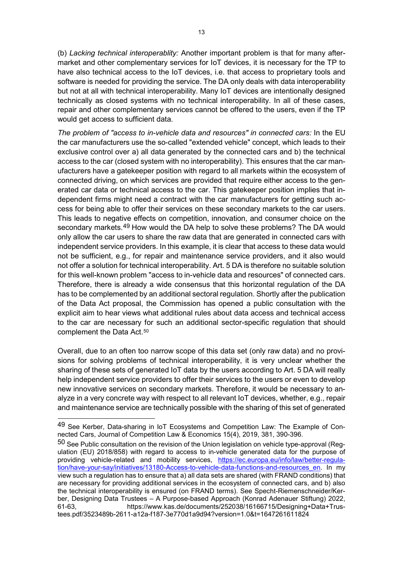13

(b) *Lacking technical interoperablity:* Another important problem is that for many aftermarket and other complementary services for IoT devices, it is necessary for the TP to have also technical access to the IoT devices, i.e. that access to proprietary tools and software is needed for providing the service. The DA only deals with data interoperability but not at all with technical interoperability. Many IoT devices are intentionally designed technically as closed systems with no technical interoperability. In all of these cases, repair and other complementary services cannot be offered to the users, even if the TP would get access to sufficient data.

*The problem of "access to in-vehicle data and resources" in connected cars:* In the EU the car manufacturers use the so-called "extended vehicle" concept, which leads to their exclusive control over a) all data generated by the connected cars and b) the technical access to the car (closed system with no interoperability). This ensures that the car manufacturers have a gatekeeper position with regard to all markets within the ecosystem of connected driving, on which services are provided that require either access to the generated car data or technical access to the car. This gatekeeper position implies that independent firms might need a contract with the car manufacturers for getting such access for being able to offer their services on these secondary markets to the car users. This leads to negative effects on competition, innovation, and consumer choice on the secondary markets.<sup>[49](#page-12-0)</sup> How would the DA help to solve these problems? The DA would only allow the car users to share the raw data that are generated in connected cars with independent service providers. In this example, it is clear that access to these data would not be sufficient, e.g., for repair and maintenance service providers, and it also would not offer a solution for technical interoperability. Art. 5 DA is therefore no suitable solution for this well-known problem "access to in-vehicle data and resources" of connected cars. Therefore, there is already a wide consensus that this horizontal regulation of the DA has to be complemented by an additional sectoral regulation. Shortly after the publication of the Data Act proposal, the Commission has opened a public consultation with the explicit aim to hear views what additional rules about data access and technical access to the car are necessary for such an additional sector-specific regulation that should complement the Data Act.<sup>[50](#page-12-1)</sup>

Overall, due to an often too narrow scope of this data set (only raw data) and no provisions for solving problems of technical interoperability, it is very unclear whether the sharing of these sets of generated IoT data by the users according to Art. 5 DA will really help independent service providers to offer their services to the users or even to develop new innovative services on secondary markets. Therefore, it would be necessary to analyze in a very concrete way with respect to all relevant IoT devices, whether, e.g., repair and maintenance service are technically possible with the sharing of this set of generated

<span id="page-12-0"></span><sup>49</sup> See Kerber, Data-sharing in IoT Ecosystems and Competition Law: The Example of Connected Cars, Journal of Competition Law & Economics 15(4), 2019, 381, 390-396.

<span id="page-12-1"></span><sup>50</sup> See Public consultation on the revision of the Union legislation on vehicle type-approval (Regulation (EU) 2018/858) with regard to access to in-vehicle generated data for the purpose of providing vehicle-related and mobility services, [https://ec.europa.eu/info/law/better-regula](https://ec.europa.eu/info/law/better-regulation/have-your-say/initiatives/13180-Access-to-vehicle-data-functions-and-resources_en)[tion/have-your-say/initiatives/13180-Access-to-vehicle-data-functions-and-resources\\_en.](https://ec.europa.eu/info/law/better-regulation/have-your-say/initiatives/13180-Access-to-vehicle-data-functions-and-resources_en) In my view such a regulation has to ensure that a) all data sets are shared (with FRAND conditions) that are necessary for providing additional services in the ecosystem of connected cars, and b) also the technical interoperability is ensured (on FRAND terms). See Specht-Riemenschneider/Kerber, Designing Data Trustees – A Purpose-based Approach (Konrad Adenauer Stiftung) 2022, 61-63, https://www.kas.de/documents/252038/16166715/Designing+Data+Trustees.pdf/3523489b-2611-a12a-f187-3e770d1a9d94?version=1.0&t=1647261611824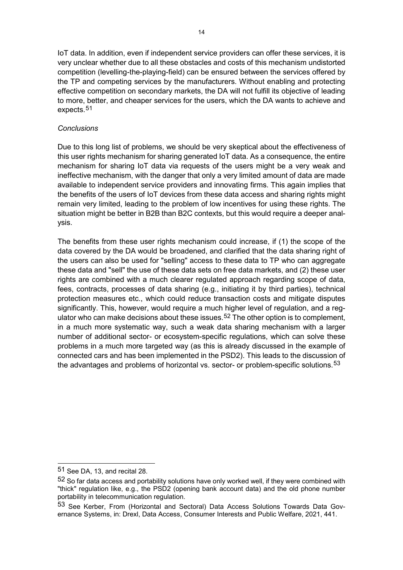IoT data. In addition, even if independent service providers can offer these services, it is very unclear whether due to all these obstacles and costs of this mechanism undistorted competition (levelling-the-playing-field) can be ensured between the services offered by the TP and competing services by the manufacturers. Without enabling and protecting effective competition on secondary markets, the DA will not fulfill its objective of leading to more, better, and cheaper services for the users, which the DA wants to achieve and expects.[51](#page-13-0)

## *Conclusions*

Due to this long list of problems, we should be very skeptical about the effectiveness of this user rights mechanism for sharing generated IoT data. As a consequence, the entire mechanism for sharing IoT data via requests of the users might be a very weak and ineffective mechanism, with the danger that only a very limited amount of data are made available to independent service providers and innovating firms. This again implies that the benefits of the users of IoT devices from these data access and sharing rights might remain very limited, leading to the problem of low incentives for using these rights. The situation might be better in B2B than B2C contexts, but this would require a deeper analysis.

The benefits from these user rights mechanism could increase, if (1) the scope of the data covered by the DA would be broadened, and clarified that the data sharing right of the users can also be used for "selling" access to these data to TP who can aggregate these data and "sell" the use of these data sets on free data markets, and (2) these user rights are combined with a much clearer regulated approach regarding scope of data, fees, contracts, processes of data sharing (e.g., initiating it by third parties), technical protection measures etc., which could reduce transaction costs and mitigate disputes significantly. This, however, would require a much higher level of regulation, and a reg-ulator who can make decisions about these issues.<sup>[52](#page-13-1)</sup> The other option is to complement, in a much more systematic way, such a weak data sharing mechanism with a larger number of additional sector- or ecosystem-specific regulations, which can solve these problems in a much more targeted way (as this is already discussed in the example of connected cars and has been implemented in the PSD2). This leads to the discussion of the advantages and problems of horizontal vs. sector- or problem-specific solutions.<sup>[53](#page-13-2)</sup>

<span id="page-13-0"></span><sup>51</sup> See DA, 13, and recital 28.

<span id="page-13-1"></span><sup>52</sup> So far data access and portability solutions have only worked well, if they were combined with "thick" regulation like, e.g., the PSD2 (opening bank account data) and the old phone number portability in telecommunication regulation.

<span id="page-13-2"></span><sup>53</sup> See Kerber, From (Horizontal and Sectoral) Data Access Solutions Towards Data Governance Systems, in: Drexl, Data Access, Consumer Interests and Public Welfare, 2021, 441.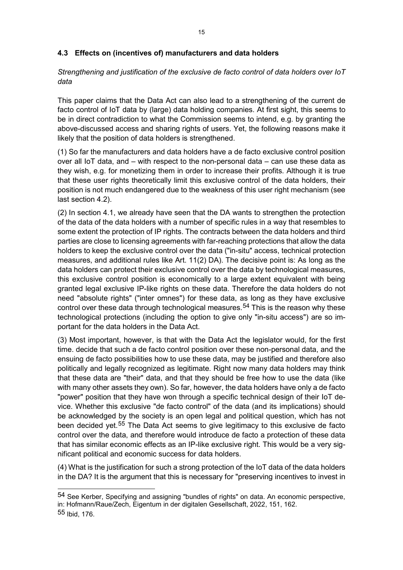# **4.3 Effects on (incentives of) manufacturers and data holders**

*Strengthening and justification of the exclusive de facto control of data holders over IoT data*

This paper claims that the Data Act can also lead to a strengthening of the current de facto control of IoT data by (large) data holding companies. At first sight, this seems to be in direct contradiction to what the Commission seems to intend, e.g. by granting the above-discussed access and sharing rights of users. Yet, the following reasons make it likely that the position of data holders is strengthened.

(1) So far the manufacturers and data holders have a de facto exclusive control position over all IoT data, and – with respect to the non-personal data – can use these data as they wish, e.g. for monetizing them in order to increase their profits. Although it is true that these user rights theoretically limit this exclusive control of the data holders, their position is not much endangered due to the weakness of this user right mechanism (see last section 4.2).

(2) In section 4.1, we already have seen that the DA wants to strengthen the protection of the data of the data holders with a number of specific rules in a way that resembles to some extent the protection of IP rights. The contracts between the data holders and third parties are close to licensing agreements with far-reaching protections that allow the data holders to keep the exclusive control over the data ("in-situ" access, technical protection measures, and additional rules like Art. 11(2) DA). The decisive point is: As long as the data holders can protect their exclusive control over the data by technological measures, this exclusive control position is economically to a large extent equivalent with being granted legal exclusive IP-like rights on these data. Therefore the data holders do not need "absolute rights" ("inter omnes") for these data, as long as they have exclusive control over these data through technological measures.<sup>[54](#page-14-0)</sup> This is the reason why these technological protections (including the option to give only "in-situ access") are so important for the data holders in the Data Act.

(3) Most important, however, is that with the Data Act the legislator would, for the first time. decide that such a de facto control position over these non-personal data, and the ensuing de facto possibilities how to use these data, may be justified and therefore also politically and legally recognized as legitimate. Right now many data holders may think that these data are "their" data, and that they should be free how to use the data (like with many other assets they own). So far, however, the data holders have only a de facto "power" position that they have won through a specific technical design of their IoT device. Whether this exclusive "de facto control" of the data (and its implications) should be acknowledged by the society is an open legal and political question, which has not been decided yet.<sup>[55](#page-14-1)</sup> The Data Act seems to give legitimacy to this exclusive de facto control over the data, and therefore would introduce de facto a protection of these data that has similar economic effects as an IP-like exclusive right. This would be a very significant political and economic success for data holders.

(4) What is the justification for such a strong protection of the IoT data of the data holders in the DA? It is the argument that this is necessary for "preserving incentives to invest in

<span id="page-14-1"></span><span id="page-14-0"></span><sup>54</sup> See Kerber, Specifying and assigning "bundles of rights" on data. An economic perspective, in: Hofmann/Raue/Zech, Eigentum in der digitalen Gesellschaft, 2022, 151, 162. 55 Ibid, 176.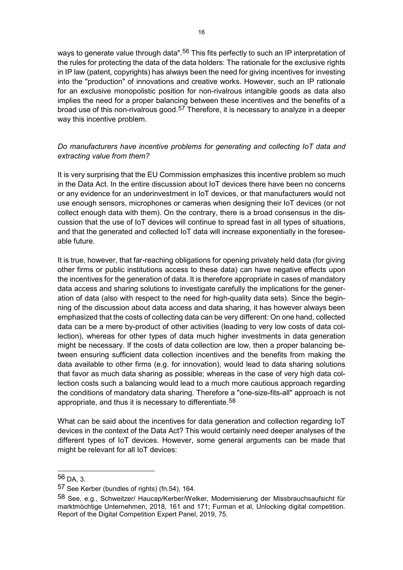ways to generate value through data".<sup>[56](#page-15-0)</sup> This fits perfectly to such an IP interpretation of the rules for protecting the data of the data holders: The rationale for the exclusive rights in IP law (patent, copyrights) has always been the need for giving incentives for investing into the "production" of innovations and creative works. However, such an IP rationale for an exclusive monopolistic position for non-rivalrous intangible goods as data also implies the need for a proper balancing between these incentives and the benefits of a broad use of this non-rivalrous good.<sup>[57](#page-15-1)</sup> Therefore, it is necessary to analyze in a deeper way this incentive problem.

# *Do manufacturers have incentive problems for generating and collecting IoT data and extracting value from them?*

It is very surprising that the EU Commission emphasizes this incentive problem so much in the Data Act. In the entire discussion about IoT devices there have been no concerns or any evidence for an underinvestment in IoT devices, or that manufacturers would not use enough sensors, microphones or cameras when designing their IoT devices (or not collect enough data with them). On the contrary, there is a broad consensus in the discussion that the use of IoT devices will continue to spread fast in all types of situations, and that the generated and collected IoT data will increase exponentially in the foreseeable future.

It is true, however, that far-reaching obligations for opening privately held data (for giving other firms or public institutions access to these data) can have negative effects upon the incentives for the generation of data. It is therefore appropriate in cases of mandatory data access and sharing solutions to investigate carefully the implications for the generation of data (also with respect to the need for high-quality data sets). Since the beginning of the discussion about data access and data sharing, it has however always been emphasized that the costs of collecting data can be very different: On one hand, collected data can be a mere by-product of other activities (leading to very low costs of data collection), whereas for other types of data much higher investments in data generation might be necessary. If the costs of data collection are low, then a proper balancing between ensuring sufficient data collection incentives and the benefits from making the data available to other firms (e.g. for innovation), would lead to data sharing solutions that favor as much data sharing as possible; whereas in the case of very high data collection costs such a balancing would lead to a much more cautious approach regarding the conditions of mandatory data sharing. Therefore a "one-size-fits-all" approach is not appropriate, and thus it is necessary to differentiate.<sup>[58](#page-15-2)</sup>

What can be said about the incentives for data generation and collection regarding IoT devices in the context of the Data Act? This would certainly need deeper analyses of the different types of IoT devices. However, some general arguments can be made that might be relevant for all IoT devices:

<span id="page-15-0"></span><sup>56</sup> DA, 3.

<span id="page-15-1"></span><sup>57</sup> See Kerber (bundles of rights) (fn.54), 164.

<span id="page-15-2"></span><sup>58</sup> See, e.g., Schweitzer/ Haucap/Kerber/Welker, Modernisierung der Missbrauchsaufsicht für marktmöchtige Unternehmen, 2018, 161 and 171; Furman et al, Unlocking digital competition. Report of the Digital Competition Expert Panel, 2019, 75.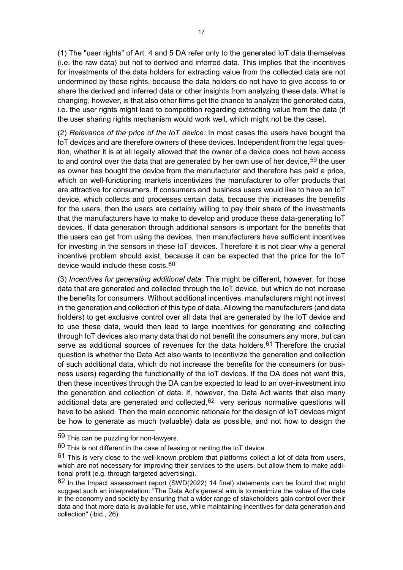(1) The "user rights" of Art. 4 and 5 DA refer only to the generated IoT data themselves (i.e. the raw data) but not to derived and inferred data. This implies that the incentives for investments of the data holders for extracting value from the collected data are not undermined by these rights, because the data holders do not have to give access to or share the derived and inferred data or other insights from analyzing these data. What is changing, however, is that also other firms get the chance to analyze the generated data, i.e. the user rights might lead to competition regarding extracting value from the data (if the user sharing rights mechanism would work well, which might not be the case).

(2) *Relevance of the price of the IoT device:* In most cases the users have bought the IoT devices and are therefore owners of these devices. Independent from the legal question, whether it is at all legally allowed that the owner of a device does not have access to and control over the data that are generated by her own use of her device.<sup>[59](#page-16-0)</sup> the user as owner has bought the device from the manufacturer and therefore has paid a price, which on well-functioning markets incentivizes the manufacturer to offer products that are attractive for consumers. If consumers and business users would like to have an IoT device, which collects and processes certain data, because this increases the benefits for the users, then the users are certainly willing to pay their share of the investments that the manufacturers have to make to develop and produce these data-generating IoT devices. If data generation through additional sensors is important for the benefits that the users can get from using the devices, then manufacturers have sufficient incentives for investing in the sensors in these IoT devices. Therefore it is not clear why a general incentive problem should exist, because it can be expected that the price for the IoT device would include these costs.<sup>[60](#page-16-1)</sup>

(3) *Incentives for generating additional data:* This might be different, however, for those data that are generated and collected through the IoT device, but which do not increase the benefits for consumers. Without additional incentives, manufacturers might not invest in the generation and collection of this type of data. Allowing the manufacturers (and data holders) to get exclusive control over all data that are generated by the IoT device and to use these data, would then lead to large incentives for generating and collecting through IoT devices also many data that do not benefit the consumers any more, but can serve as additional sources of revenues for the data holders.<sup>[61](#page-16-2)</sup> Therefore the crucial question is whether the Data Act also wants to incentivize the generation and collection of such additional data, which do not increase the benefits for the consumers (or business users) regarding the functionality of the IoT devices. If the DA does not want this, then these incentives through the DA can be expected to lead to an over-investment into the generation and collection of data. If, however, the Data Act wants that also many additional data are generated and collected,  $62$  very serious normative questions will have to be asked. Then the main economic rationale for the design of IoT devices might be how to generate as much (valuable) data as possible, and not how to design the

<span id="page-16-0"></span><sup>59</sup> This can be puzzling for non-lawyers.

<span id="page-16-1"></span> $60$  This is not different in the case of leasing or renting the IoT device.

<span id="page-16-2"></span> $61$  This is very close to the well-known problem that platforms collect a lot of data from users, which are not necessary for improving their services to the users, but allow them to make additional profit (e.g. through targeted advertising).

<span id="page-16-3"></span><sup>62</sup> In the Impact assessment report (SWD(2022) 14 final) statements can be found that might suggest such an interpretation: "The Data Act's general aim is to maximize the value of the data in the economy and society by ensuring that a wider range of stakeholders gain control over their data and that more data is available for use, while maintaining incentives for data generation and collection" (ibid., 26).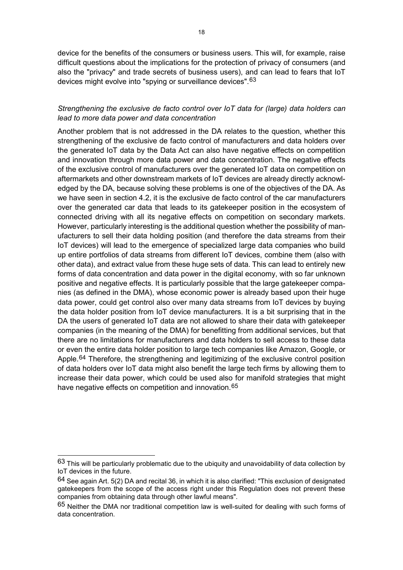device for the benefits of the consumers or business users. This will, for example, raise difficult questions about the implications for the protection of privacy of consumers (and also the "privacy" and trade secrets of business users), and can lead to fears that IoT devices might evolve into "spying or surveillance devices". [63](#page-17-0)

# *Strengthening the exclusive de facto control over IoT data for (large) data holders can lead to more data power and data concentration*

Another problem that is not addressed in the DA relates to the question, whether this strengthening of the exclusive de facto control of manufacturers and data holders over the generated IoT data by the Data Act can also have negative effects on competition and innovation through more data power and data concentration. The negative effects of the exclusive control of manufacturers over the generated IoT data on competition on aftermarkets and other downstream markets of IoT devices are already directly acknowledged by the DA, because solving these problems is one of the objectives of the DA. As we have seen in section 4.2, it is the exclusive de facto control of the car manufacturers over the generated car data that leads to its gatekeeper position in the ecosystem of connected driving with all its negative effects on competition on secondary markets. However, particularly interesting is the additional question whether the possibility of manufacturers to sell their data holding position (and therefore the data streams from their IoT devices) will lead to the emergence of specialized large data companies who build up entire portfolios of data streams from different IoT devices, combine them (also with other data), and extract value from these huge sets of data. This can lead to entirely new forms of data concentration and data power in the digital economy, with so far unknown positive and negative effects. It is particularly possible that the large gatekeeper companies (as defined in the DMA), whose economic power is already based upon their huge data power, could get control also over many data streams from IoT devices by buying the data holder position from IoT device manufacturers. It is a bit surprising that in the DA the users of generated IoT data are not allowed to share their data with gatekeeper companies (in the meaning of the DMA) for benefitting from additional services, but that there are no limitations for manufacturers and data holders to sell access to these data or even the entire data holder position to large tech companies like Amazon, Google, or Apple.<sup>[64](#page-17-1)</sup> Therefore, the strengthening and legitimizing of the exclusive control position of data holders over IoT data might also benefit the large tech firms by allowing them to increase their data power, which could be used also for manifold strategies that might have negative effects on competition and innovation.<sup>[65](#page-17-2)</sup>

<span id="page-17-0"></span> $63$  This will be particularly problematic due to the ubiquity and unavoidability of data collection by IoT devices in the future.

<span id="page-17-1"></span><sup>64</sup> See again Art. 5(2) DA and recital 36, in which it is also clarified: "This exclusion of designated gatekeepers from the scope of the access right under this Regulation does not prevent these companies from obtaining data through other lawful means".

<span id="page-17-2"></span><sup>65</sup> Neither the DMA nor traditional competition law is well-suited for dealing with such forms of data concentration.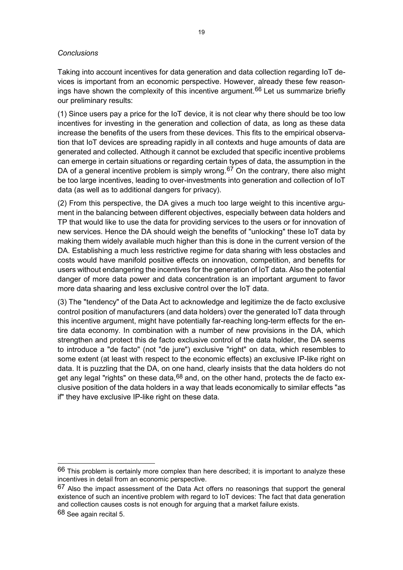#### *Conclusions*

Taking into account incentives for data generation and data collection regarding IoT devices is important from an economic perspective. However, already these few reason-ings have shown the complexity of this incentive argument.<sup>[66](#page-18-0)</sup> Let us summarize briefly our preliminary results:

(1) Since users pay a price for the IoT device, it is not clear why there should be too low incentives for investing in the generation and collection of data, as long as these data increase the benefits of the users from these devices. This fits to the empirical observation that IoT devices are spreading rapidly in all contexts and huge amounts of data are generated and collected. Although it cannot be excluded that specific incentive problems can emerge in certain situations or regarding certain types of data, the assumption in the DA of a general incentive problem is simply wrong.<sup>[67](#page-18-1)</sup> On the contrary, there also might be too large incentives, leading to over-investments into generation and collection of IoT data (as well as to additional dangers for privacy).

(2) From this perspective, the DA gives a much too large weight to this incentive argument in the balancing between different objectives, especially between data holders and TP that would like to use the data for providing services to the users or for innovation of new services. Hence the DA should weigh the benefits of "unlocking" these IoT data by making them widely available much higher than this is done in the current version of the DA. Establishing a much less restrictive regime for data sharing with less obstacles and costs would have manifold positive effects on innovation, competition, and benefits for users without endangering the incentives for the generation of IoT data. Also the potential danger of more data power and data concentration is an important argument to favor more data shaaring and less exclusive control over the IoT data.

(3) The "tendency" of the Data Act to acknowledge and legitimize the de facto exclusive control position of manufacturers (and data holders) over the generated IoT data through this incentive argument, might have potentially far-reaching long-term effects for the entire data economy. In combination with a number of new provisions in the DA, which strengthen and protect this de facto exclusive control of the data holder, the DA seems to introduce a "de facto" (not "de jure") exclusive "right" on data, which resembles to some extent (at least with respect to the economic effects) an exclusive IP-like right on data. It is puzzling that the DA, on one hand, clearly insists that the data holders do not get any legal "rights" on these data, <sup>[68](#page-18-2)</sup> and, on the other hand, protects the de facto exclusive position of the data holders in a way that leads economically to similar effects "as if" they have exclusive IP-like right on these data.

<span id="page-18-0"></span> $66$  This problem is certainly more complex than here described; it is important to analyze these incentives in detail from an economic perspective.

<span id="page-18-1"></span> $67$  Also the impact assessment of the Data Act offers no reasonings that support the general existence of such an incentive problem with regard to IoT devices: The fact that data generation and collection causes costs is not enough for arguing that a market failure exists.

<span id="page-18-2"></span><sup>68</sup> See again recital 5.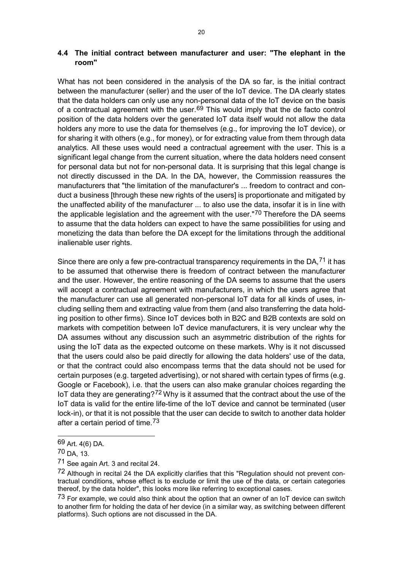# **4.4 The initial contract between manufacturer and user: "The elephant in the room"**

What has not been considered in the analysis of the DA so far, is the initial contract between the manufacturer (seller) and the user of the IoT device. The DA clearly states that the data holders can only use any non-personal data of the IoT device on the basis of a contractual agreement with the user.  $69$  This would imply that the de facto control position of the data holders over the generated IoT data itself would not allow the data holders any more to use the data for themselves (e.g., for improving the IoT device), or for sharing it with others (e.g., for money), or for extracting value from them through data analytics. All these uses would need a contractual agreement with the user. This is a significant legal change from the current situation, where the data holders need consent for personal data but not for non-personal data. It is surprising that this legal change is not directly discussed in the DA. In the DA, however, the Commission reassures the manufacturers that "the limitation of the manufacturer's ... freedom to contract and conduct a business [through these new rights of the users] is proportionate and mitigated by the unaffected ability of the manufacturer ... to also use the data, insofar it is in line with the applicable legislation and the agreement with the user."<sup>[70](#page-19-1)</sup> Therefore the DA seems to assume that the data holders can expect to have the same possibilities for using and monetizing the data than before the DA except for the limitations through the additional inalienable user rights.

Since there are only a few pre-contractual transparency requirements in the DA.<sup>[71](#page-19-2)</sup> it has to be assumed that otherwise there is freedom of contract between the manufacturer and the user. However, the entire reasoning of the DA seems to assume that the users will accept a contractual agreement with manufacturers, in which the users agree that the manufacturer can use all generated non-personal IoT data for all kinds of uses, including selling them and extracting value from them (and also transferring the data holding position to other firms). Since IoT devices both in B2C and B2B contexts are sold on markets with competition between IoT device manufacturers, it is very unclear why the DA assumes without any discussion such an asymmetric distribution of the rights for using the IoT data as the expected outcome on these markets. Why is it not discussed that the users could also be paid directly for allowing the data holders' use of the data, or that the contract could also encompass terms that the data should not be used for certain purposes (e.g. targeted advertising), or not shared with certain types of firms (e.g. Google or Facebook), i.e. that the users can also make granular choices regarding the IoT data they are generating?<sup>[72](#page-19-3)</sup> Why is it assumed that the contract about the use of the IoT data is valid for the entire life-time of the IoT device and cannot be terminated (user lock-in), or that it is not possible that the user can decide to switch to another data holder after a certain period of time.[73](#page-19-4)

<span id="page-19-0"></span><sup>69</sup> Art. 4(6) DA.

<span id="page-19-1"></span><sup>70</sup> DA, 13.

<span id="page-19-2"></span><sup>71</sup> See again Art. 3 and recital 24.

<span id="page-19-3"></span><sup>72</sup> Although in recital 24 the DA explicitly clarifies that this "Regulation should not prevent contractual conditions, whose effect is to exclude or limit the use of the data, or certain categories thereof, by the data holder", this looks more like referring to exceptional cases.

<span id="page-19-4"></span> $73$  For example, we could also think about the option that an owner of an IoT device can switch to another firm for holding the data of her device (in a similar way, as switching between different platforms). Such options are not discussed in the DA.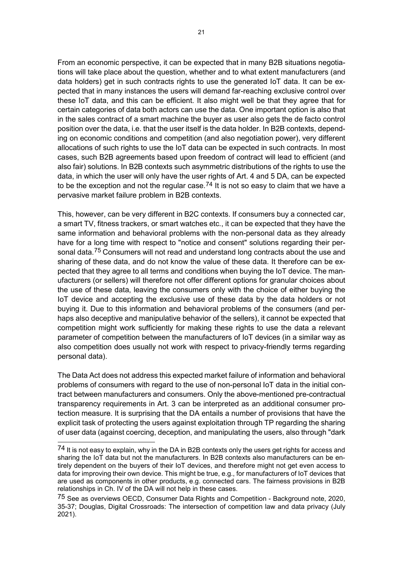From an economic perspective, it can be expected that in many B2B situations negotiations will take place about the question, whether and to what extent manufacturers (and data holders) get in such contracts rights to use the generated IoT data. It can be expected that in many instances the users will demand far-reaching exclusive control over these IoT data, and this can be efficient. It also might well be that they agree that for certain categories of data both actors can use the data. One important option is also that in the sales contract of a smart machine the buyer as user also gets the de facto control position over the data, i.e. that the user itself is the data holder. In B2B contexts, depending on economic conditions and competition (and also negotiation power), very different allocations of such rights to use the IoT data can be expected in such contracts. In most cases, such B2B agreements based upon freedom of contract will lead to efficient (and also fair) solutions. In B2B contexts such asymmetric distributions of the rights to use the data, in which the user will only have the user rights of Art. 4 and 5 DA, can be expected to be the exception and not the regular case.<sup>[74](#page-20-0)</sup> It is not so easy to claim that we have a pervasive market failure problem in B2B contexts.

This, however, can be very different in B2C contexts. If consumers buy a connected car, a smart TV, fitness trackers, or smart watches etc., it can be expected that they have the same information and behavioral problems with the non-personal data as they already have for a long time with respect to "notice and consent" solutions regarding their per-sonal data.<sup>[75](#page-20-1)</sup> Consumers will not read and understand long contracts about the use and sharing of these data, and do not know the value of these data. It therefore can be expected that they agree to all terms and conditions when buying the IoT device. The manufacturers (or sellers) will therefore not offer different options for granular choices about the use of these data, leaving the consumers only with the choice of either buying the IoT device and accepting the exclusive use of these data by the data holders or not buying it. Due to this information and behavioral problems of the consumers (and perhaps also deceptive and manipulative behavior of the sellers), it cannot be expected that competition might work sufficiently for making these rights to use the data a relevant parameter of competition between the manufacturers of IoT devices (in a similar way as also competition does usually not work with respect to privacy-friendly terms regarding personal data).

The Data Act does not address this expected market failure of information and behavioral problems of consumers with regard to the use of non-personal IoT data in the initial contract between manufacturers and consumers. Only the above-mentioned pre-contractual transparency requirements in Art. 3 can be interpreted as an additional consumer protection measure. It is surprising that the DA entails a number of provisions that have the explicit task of protecting the users against exploitation through TP regarding the sharing of user data (against coercing, deception, and manipulating the users, also through "dark

<span id="page-20-0"></span><sup>74</sup> It is not easy to explain, why in the DA in B2B contexts only the users get rights for access and sharing the IoT data but not the manufacturers. In B2B contexts also manufacturers can be entirely dependent on the buyers of their IoT devices, and therefore might not get even access to data for improving their own device. This might be true, e.g., for manufacturers of IoT devices that are used as components in other products, e.g. connected cars. The fairness provisions in B2B relationships in Ch. IV of the DA will not help in these cases.

<span id="page-20-1"></span><sup>75</sup> See as overviews OECD, Consumer Data Rights and Competition - Background note, 2020, 35-37; Douglas, Digital Crossroads: The intersection of competition law and data privacy (July 2021).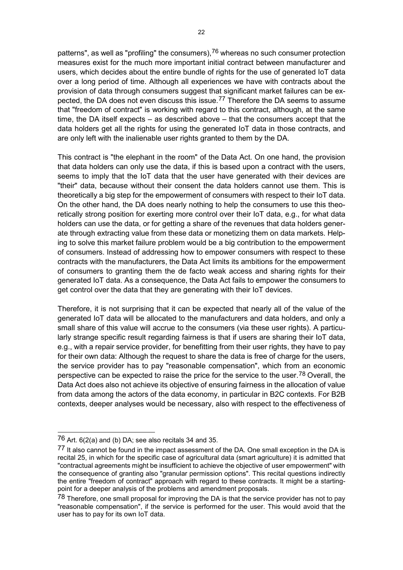patterns", as well as "profiling" the consumers),<sup>[76](#page-21-0)</sup> whereas no such consumer protection measures exist for the much more important initial contract between manufacturer and users, which decides about the entire bundle of rights for the use of generated IoT data over a long period of time. Although all experiences we have with contracts about the provision of data through consumers suggest that significant market failures can be ex-pected, the DA does not even discuss this issue.<sup>[77](#page-21-1)</sup> Therefore the DA seems to assume that "freedom of contract" is working with regard to this contract, although, at the same time, the DA itself expects – as described above – that the consumers accept that the data holders get all the rights for using the generated IoT data in those contracts, and are only left with the inalienable user rights granted to them by the DA.

This contract is "the elephant in the room" of the Data Act. On one hand, the provision that data holders can only use the data, if this is based upon a contract with the users, seems to imply that the IoT data that the user have generated with their devices are "their" data, because without their consent the data holders cannot use them. This is theoretically a big step for the empowerment of consumers with respect to their IoT data. On the other hand, the DA does nearly nothing to help the consumers to use this theoretically strong position for exerting more control over their IoT data, e.g., for what data holders can use the data, or for getting a share of the revenues that data holders generate through extracting value from these data or monetizing them on data markets. Helping to solve this market failure problem would be a big contribution to the empowerment of consumers. Instead of addressing how to empower consumers with respect to these contracts with the manufacturers, the Data Act limits its ambitions for the empowerment of consumers to granting them the de facto weak access and sharing rights for their generated IoT data. As a consequence, the Data Act fails to empower the consumers to get control over the data that they are generating with their IoT devices.

Therefore, it is not surprising that it can be expected that nearly all of the value of the generated IoT data will be allocated to the manufacturers and data holders, and only a small share of this value will accrue to the consumers (via these user rights). A particularly strange specific result regarding fairness is that if users are sharing their IoT data, e.g., with a repair service provider, for benefitting from their user rights, they have to pay for their own data: Although the request to share the data is free of charge for the users, the service provider has to pay "reasonable compensation", which from an economic perspective can be expected to raise the price for the service to the user.<sup>[78](#page-21-2)</sup> Overall, the Data Act does also not achieve its objective of ensuring fairness in the allocation of value from data among the actors of the data economy, in particular in B2C contexts. For B2B contexts, deeper analyses would be necessary, also with respect to the effectiveness of

<span id="page-21-0"></span> $76$  Art. 6(2(a) and (b) DA; see also recitals 34 and 35.

<span id="page-21-1"></span> $77$  It also cannot be found in the impact assessment of the DA. One small exception in the DA is recital 25, in which for the specific case of agricultural data (smart agriculture) it is admitted that "contractual agreements might be insufficient to achieve the objective of user empowerment" with the consequence of granting also "granular permission options". This recital questions indirectly the entire "freedom of contract" approach with regard to these contracts. It might be a startingpoint for a deeper analysis of the problems and amendment proposals.

<span id="page-21-2"></span> $78$  Therefore, one small proposal for improving the DA is that the service provider has not to pay "reasonable compensation", if the service is performed for the user. This would avoid that the user has to pay for its own IoT data.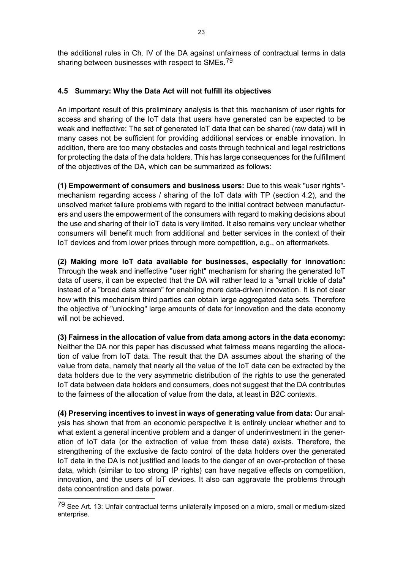the additional rules in Ch. IV of the DA against unfairness of contractual terms in data sharing between businesses with respect to SMEs.<sup>[79](#page-22-0)</sup>

# **4.5 Summary: Why the Data Act will not fulfill its objectives**

An important result of this preliminary analysis is that this mechanism of user rights for access and sharing of the IoT data that users have generated can be expected to be weak and ineffective: The set of generated IoT data that can be shared (raw data) will in many cases not be sufficient for providing additional services or enable innovation. In addition, there are too many obstacles and costs through technical and legal restrictions for protecting the data of the data holders. This has large consequences for the fulfillment of the objectives of the DA, which can be summarized as follows:

**(1) Empowerment of consumers and business users:** Due to this weak "user rights" mechanism regarding access / sharing of the IoT data with TP (section 4.2), and the unsolved market failure problems with regard to the initial contract between manufacturers and users the empowerment of the consumers with regard to making decisions about the use and sharing of their IoT data is very limited. It also remains very unclear whether consumers will benefit much from additional and better services in the context of their IoT devices and from lower prices through more competition, e.g., on aftermarkets.

**(2) Making more IoT data available for businesses, especially for innovation:**  Through the weak and ineffective "user right" mechanism for sharing the generated IoT data of users, it can be expected that the DA will rather lead to a "small trickle of data" instead of a "broad data stream" for enabling more data-driven innovation. It is not clear how with this mechanism third parties can obtain large aggregated data sets. Therefore the objective of "unlocking" large amounts of data for innovation and the data economy will not be achieved.

**(3) Fairness in the allocation of value from data among actors in the data economy:**  Neither the DA nor this paper has discussed what fairness means regarding the allocation of value from IoT data. The result that the DA assumes about the sharing of the value from data, namely that nearly all the value of the IoT data can be extracted by the data holders due to the very asymmetric distribution of the rights to use the generated IoT data between data holders and consumers, does not suggest that the DA contributes to the fairness of the allocation of value from the data, at least in B2C contexts.

**(4) Preserving incentives to invest in ways of generating value from data:** Our analysis has shown that from an economic perspective it is entirely unclear whether and to what extent a general incentive problem and a danger of underinvestment in the generation of IoT data (or the extraction of value from these data) exists. Therefore, the strengthening of the exclusive de facto control of the data holders over the generated IoT data in the DA is not justified and leads to the danger of an over-protection of these data, which (similar to too strong IP rights) can have negative effects on competition, innovation, and the users of IoT devices. It also can aggravate the problems through data concentration and data power.

1

<span id="page-22-0"></span><sup>79</sup> See Art. 13: Unfair contractual terms unilaterally imposed on a micro, small or medium-sized enterprise.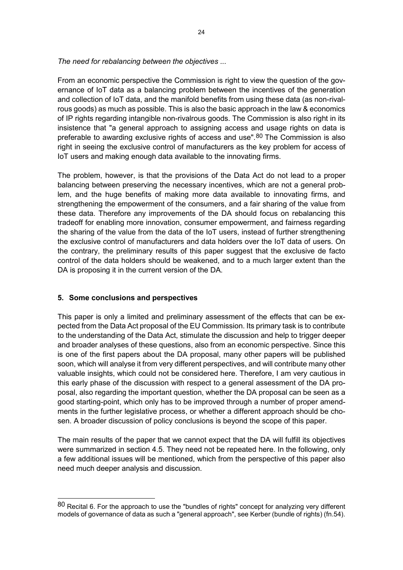*The need for rebalancing between the objectives ...* 

From an economic perspective the Commission is right to view the question of the governance of IoT data as a balancing problem between the incentives of the generation and collection of IoT data, and the manifold benefits from using these data (as non-rivalrous goods) as much as possible. This is also the basic approach in the law & economics of IP rights regarding intangible non-rivalrous goods. The Commission is also right in its insistence that "a general approach to assigning access and usage rights on data is preferable to awarding exclusive rights of access and use".<sup>[80](#page-23-0)</sup> The Commission is also right in seeing the exclusive control of manufacturers as the key problem for access of IoT users and making enough data available to the innovating firms.

The problem, however, is that the provisions of the Data Act do not lead to a proper balancing between preserving the necessary incentives, which are not a general problem, and the huge benefits of making more data available to innovating firms, and strengthening the empowerment of the consumers, and a fair sharing of the value from these data. Therefore any improvements of the DA should focus on rebalancing this tradeoff for enabling more innovation, consumer empowerment, and fairness regarding the sharing of the value from the data of the IoT users, instead of further strengthening the exclusive control of manufacturers and data holders over the IoT data of users. On the contrary, the preliminary results of this paper suggest that the exclusive de facto control of the data holders should be weakened, and to a much larger extent than the DA is proposing it in the current version of the DA.

#### **5. Some conclusions and perspectives**

1

This paper is only a limited and preliminary assessment of the effects that can be expected from the Data Act proposal of the EU Commission. Its primary task is to contribute to the understanding of the Data Act, stimulate the discussion and help to trigger deeper and broader analyses of these questions, also from an economic perspective. Since this is one of the first papers about the DA proposal, many other papers will be published soon, which will analyse it from very different perspectives, and will contribute many other valuable insights, which could not be considered here. Therefore, I am very cautious in this early phase of the discussion with respect to a general assessment of the DA proposal, also regarding the important question, whether the DA proposal can be seen as a good starting-point, which only has to be improved through a number of proper amendments in the further legislative process, or whether a different approach should be chosen. A broader discussion of policy conclusions is beyond the scope of this paper.

The main results of the paper that we cannot expect that the DA will fulfill its objectives were summarized in section 4.5. They need not be repeated here. In the following, only a few additional issues will be mentioned, which from the perspective of this paper also need much deeper analysis and discussion.

<span id="page-23-0"></span><sup>80</sup> Recital 6. For the approach to use the "bundles of rights" concept for analyzing very different models of governance of data as such a "general approach", see Kerber (bundle of rights) (fn.54).